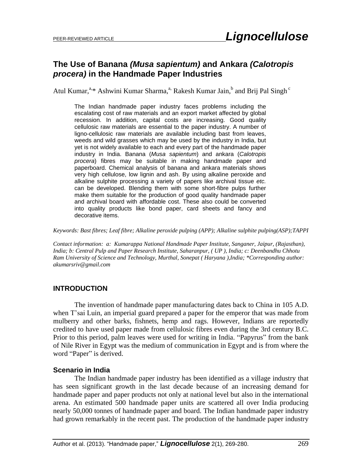# **The Use of Banana** *(Musa sapientum)* **and Ankara** *(Calotropis procera)* **in the Handmade Paper Industries**

Atul Kumar,<sup>a,\*</sup> Ashwini Kumar Sharma,<sup>a,</sup> Rakesh Kumar Jain,<sup>b</sup> and Brij Pal Singh<sup>c</sup>

The Indian handmade paper industry faces problems including the escalating cost of raw materials and an export market affected by global recession. In addition, capital costs are increasing. Good quality cellulosic raw materials are essential to the paper industry. A number of ligno-cellulosic raw materials are available including bast from leaves, weeds and wild grasses which may be used by the industry in India, but yet is not widely available to each and every part of the handmade paper industry in India. Banana (*Musa sapientum*) and ankara (*Calotropis procera*) fibres may be suitable in making handmade paper and paperboard. Chemical analysis of banana and ankara materials shows very high cellulose, low lignin and ash. By using alkaline peroxide and alkaline sulphite processing a variety of papers like archival tissue *etc.* can be developed. Blending them with some short-fibre pulps further make them suitable for the production of good quality handmade paper and archival board with affordable cost. These also could be converted into quality products like bond paper, card sheets and fancy and decorative items.

*Keywords: Bast fibres; Leaf fibre; Alkaline peroxide pulping (APP); Alkaline sulphite pulping(ASP);TAPPI*

*Contact information: a: Kumarappa National Handmade Paper Institute, Sanganer, Jaipur, (Rajasthan), India; b: Central Pulp and Paper Research Institute, Saharanpur, ( UP ), India; c: Deenbandhu Chhotu Ram University of Science and Technology, Murthal, Sonepat ( Haryana ),India; \*Corresponding author: akumarsriv@gmail.com*

# **INTRODUCTION**

The invention of handmade paper manufacturing dates back to China in 105 A.D. when T'sai Luin, an imperial guard prepared a paper for the emperor that was made from mulberry and other barks, fishnets, hemp and rags. However, Indians are reportedly credited to have used paper made from cellulosic fibres even during the 3rd century B.C. Prior to this period, palm leaves were used for writing in India. "Papyrus" from the bank of Nile River in Egypt was the medium of communication in Egypt and is from where the word "Paper" is derived.

# **Scenario in India**

The Indian handmade paper industry has been identified as a village industry that has seen significant growth in the last decade because of an increasing demand for handmade paper and paper products not only at national level but also in the international arena. An estimated 500 handmade paper units are scattered all over India producing nearly 50,000 tonnes of handmade paper and board. The Indian handmade paper industry had grown remarkably in the recent past. The production of the handmade paper industry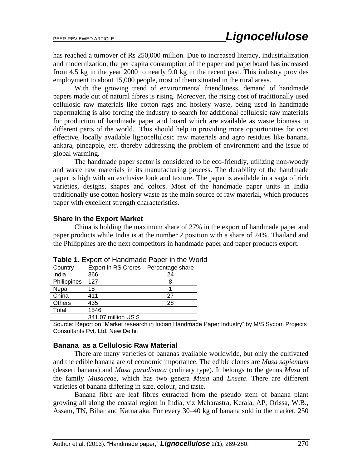has reached a turnover of Rs 250,000 million. Due to increased literacy, industrialization and modernization, the per capita consumption of the paper and paperboard has increased from 4.5 kg in the year 2000 to nearly 9.0 kg in the recent past. This industry provides employment to about 15,000 people, most of them situated in the rural areas.

With the growing trend of environmental friendliness, demand of handmade papers made out of natural fibres is rising. Moreover, the rising cost of traditionally used cellulosic raw materials like cotton rags and hosiery waste, being used in handmade papermaking is also forcing the industry to search for additional cellulosic raw materials for production of handmade paper and board which are available as waste biomass in different parts of the world. This should help in providing more opportunities for cost effective, locally available lignocellulosic raw materials and agro residues like banana, ankara, pineapple, *etc.* thereby addressing the problem of environment and the issue of global warming.

The handmade paper sector is considered to be eco-friendly, utilizing non-woody and waste raw materials in its manufacturing process. The durability of the handmade paper is high with an exclusive look and texture. The paper is available in a saga of rich varieties, designs, shapes and colors. Most of the handmade paper units in India traditionally use cotton hosiery waste as the main source of raw material, which produces paper with excellent strength characteristics.

#### **Share in the Export Market**

China is holding the maximum share of 27% in the export of handmade paper and paper products while India is at the number 2 position with a share of 24%. Thailand and the Philippines are the next competitors in handmade paper and paper products export.

| Country       | <b>Export in RS Crores</b> | Percentage share |
|---------------|----------------------------|------------------|
| India         | 366                        | 24               |
| Philippines   | 127                        |                  |
| Nepal         | 15                         |                  |
| China         | 411                        | 27               |
| <b>Others</b> | 435                        | 28               |
| Total         | 1546                       |                  |
|               | 341.07 million US \$       |                  |

**Table 1.** Export of Handmade Paper in the World

Source: Report on "Market research in Indian Handmade Paper Industry" by M/S Sycom Projects Consultants Pvt. Ltd. New Delhi.

## **Banana as a Cellulosic Raw Material**

There are many varieties of bananas available worldwide, but only the cultivated and the edible banana are of economic importance. The edible clones are *Musa sapientum* (dessert banana) and *Musa paradisiaca* (culinary type). It belongs to the genus *Musa* of the family *Musaceae,* which has two genera *Musa* and *Ensete*. There are different varieties of banana differing in size, colour, and taste.

Banana fibre are leaf fibres extracted from the pseudo stem of banana plant growing all along the coastal region in India, viz Maharastra, Kerala, AP, Orissa, W.B., Assam, TN, Bihar and Karnataka. For every 30–40 kg of banana sold in the market, 250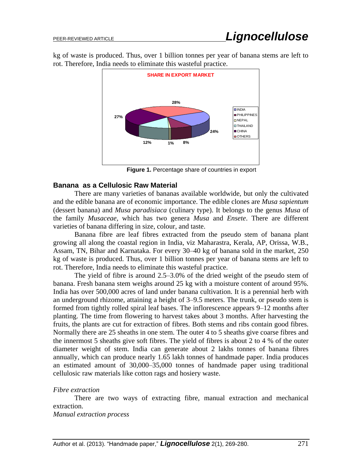kg of waste is produced. Thus, over 1 billion tonnes per year of banana stems are left to rot. Therefore, India needs to eliminate this wasteful practice.



**Figure 1.** Percentage share of countries in export

#### **Banana as a Cellulosic Raw Material**

There are many varieties of bananas available worldwide, but only the cultivated and the edible banana are of economic importance. The edible clones are *Musa sapientum* (dessert banana) and *Musa paradisiaca* (culinary type). It belongs to the genus *Musa* of the family *Musaceae,* which has two genera *Musa* and *Ensete*. There are different varieties of banana differing in size, colour, and taste.

Banana fibre are leaf fibres extracted from the pseudo stem of banana plant growing all along the coastal region in India, viz Maharastra, Kerala, AP, Orissa, W.B., Assam, TN, Bihar and Karnataka. For every 30–40 kg of banana sold in the market, 250 kg of waste is produced. Thus, over 1 billion tonnes per year of banana stems are left to rot. Therefore, India needs to eliminate this wasteful practice.

The yield of fibre is around 2.5–3.0% of the dried weight of the pseudo stem of banana. Fresh banana stem weighs around 25 kg with a moisture content of around 95%. India has over 500,000 acres of land under banana cultivation. It is a perennial herb with an underground rhizome, attaining a height of 3–9.5 meters. The trunk, or pseudo stem is formed from tightly rolled spiral leaf bases. The inflorescence appears 9–12 months after planting. The time from flowering to harvest takes about 3 months. After harvesting the fruits, the plants are cut for extraction of fibres. Both stems and ribs contain good fibres. Normally there are 25 sheaths in one stem. The outer 4 to 5 sheaths give coarse fibres and the innermost 5 sheaths give soft fibres. The yield of fibres is about 2 to 4 % of the outer diameter weight of stem. India can generate about 2 lakhs tonnes of banana fibres annually, which can produce nearly 1.65 lakh tonnes of handmade paper. India produces an estimated amount of 30,000–35,000 tonnes of handmade paper using traditional cellulosic raw materials like cotton rags and hosiery waste.

#### *Fibre extraction*

There are two ways of extracting fibre, manual extraction and mechanical extraction.

*Manual extraction process*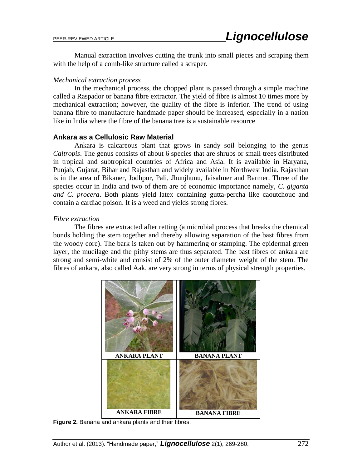Manual extraction involves cutting the trunk into small pieces and scraping them with the help of a comb-like structure called a scraper.

#### *Mechanical extraction process*

In the mechanical process, the chopped plant is passed through a simple machine called a Raspador or banana fibre extractor. The yield of fibre is almost 10 times more by mechanical extraction; however, the quality of the fibre is inferior. The trend of using banana fibre to manufacture handmade paper should be increased, especially in a nation like in India where the fibre of the banana tree is a sustainable resource

### **Ankara as a Cellulosic Raw Material**

Ankara is calcareous plant that grows in sandy soil belonging to the genus *Caltropis*. The genus consists of about 6 species that are shrubs or small trees distributed in tropical and subtropical countries of Africa and Asia. It is available in Haryana, Punjab, Gujarat, Bihar and Rajasthan and widely available in Northwest India. Rajasthan is in the area of Bikaner, Jodhpur, Pali, Jhunjhunu, Jaisalmer and Barmer. Three of the species occur in India and two of them are of economic importance namely, *C. giganta and C. procera*. Both plants yield latex containing gutta-percha like caoutchouc and contain a cardiac poison. It is a weed and yields strong fibres.

### *Fibre extraction*

The fibres are extracted after retting (a microbial process that breaks the chemical bonds holding the stem together and thereby allowing separation of the bast fibres from the woody core). The bark is taken out by hammering or stamping. The epidermal green layer, the mucilage and the pithy stems are thus separated. The bast fibres of ankara are strong and semi-white and consist of 2% of the outer diameter weight of the stem. The fibres of ankara, also called Aak, are very strong in terms of physical strength properties.



**Figure 2.** Banana and ankara plants and their fibres.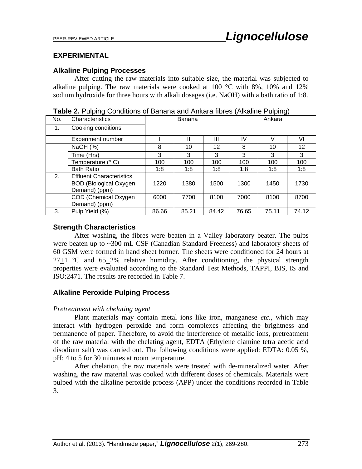## **EXPERIMENTAL**

### **Alkaline Pulping Processes**

After cutting the raw materials into suitable size, the material was subjected to alkaline pulping. The raw materials were cooked at 100 °C with 8%, 10% and 12% sodium hydroxide for three hours with alkali dosages (i.e. NaOH) with a bath ratio of 1:8.

| No. | Characteristics                 |       | Banana |       | ັ<br>Ankara |       |       |
|-----|---------------------------------|-------|--------|-------|-------------|-------|-------|
| 1.  | Cooking conditions              |       |        |       |             |       |       |
|     | <b>Experiment number</b>        |       |        | Ш     | IV          |       | V١    |
|     | NaOH (%)                        | 8     | 10     | 12    | 8           | 10    | 12    |
|     | Time (Hrs)                      | 3     | 3      | 3     | 3           | 3     | 3     |
|     | Temperature (° C)               | 100   | 100    | 100   | 100         | 100   | 100   |
|     | <b>Bath Ratio</b>               | 1:8   | 1:8    | 1:8   | 1:8         | 1:8   | 1:8   |
| 2.  | <b>Effluent Characteristics</b> |       |        |       |             |       |       |
|     | <b>BOD</b> (Biological Oxygen   | 1220  | 1380   | 1500  | 1300        | 1450  | 1730  |
|     | Demand) (ppm)                   |       |        |       |             |       |       |
|     | COD (Chemical Oxygen            | 6000  | 7700   | 8100  | 7000        | 8100  | 8700  |
|     | Demand) (ppm)                   |       |        |       |             |       |       |
| 3.  | Pulp Yield (%)                  | 86.66 | 85.21  | 84.42 | 76.65       | 75.11 | 74.12 |

**Table 2.** Pulping Conditions of Banana and Ankara fibres (Alkaline Pulping)

### **Strength Characteristics**

After washing, the fibres were beaten in a Valley laboratory beater. The pulps were beaten up to ~300 mL CSF (Canadian Standard Freeness) and laboratory sheets of 60 GSM were formed in hand sheet former. The sheets were conditioned for 24 hours at  $27+1$  °C and  $65+2\%$  relative humidity. After conditioning, the physical strength properties were evaluated according to the Standard Test Methods, TAPPI, BIS, IS and ISO:2471. The results are recorded in Table 7.

# **Alkaline Peroxide Pulping Process**

#### *Pretreatment with chelating agent*

Plant materials may contain metal ions like iron, manganese *etc.,* which may interact with hydrogen peroxide and form complexes affecting the brightness and permanence of paper. Therefore, to avoid the interference of metallic ions, pretreatment of the raw material with the chelating agent, EDTA (Ethylene diamine tetra acetic acid disodium salt) was carried out. The following conditions were applied: EDTA: 0.05 %, pH: 4 to 5 for 30 minutes at room temperature.

After chelation, the raw materials were treated with de-mineralized water. After washing, the raw material was cooked with different doses of chemicals. Materials were pulped with the alkaline peroxide process (APP) under the conditions recorded in Table 3.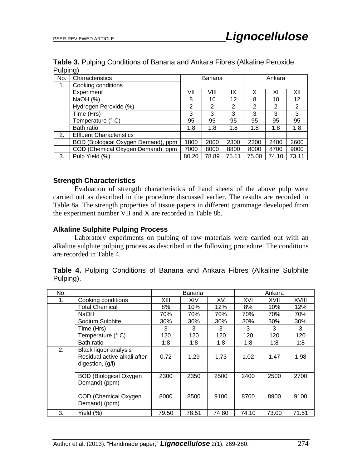| Table 3. Pulping Conditions of Banana and Ankara Fibres (Alkaline Peroxide |  |  |  |
|----------------------------------------------------------------------------|--|--|--|
| Pulping)                                                                   |  |  |  |

| No. | J/<br>Characteristics               | Ankara<br>Banana |       |       |       |       |       |
|-----|-------------------------------------|------------------|-------|-------|-------|-------|-------|
| 1.  | Cooking conditions                  |                  |       |       |       |       |       |
|     | Experiment                          | VII              | VIII  | IX    | Х     | ΧI    | XII   |
|     | NaOH (%)                            | 8                | 10    | 12    | 8     | 10    | 12    |
|     | Hydrogen Peroxide (%)               | $\overline{2}$   | 2     | 2     | 2     | 2     | 2     |
|     | Time (Hrs)                          | 3                | 3     | 3     | 3     | 3     | 3     |
|     | Temperature (° C)                   | 95               | 95    | 95    | 95    | 95    | 95    |
|     | Bath ratio                          | 1:8              | 1:8   | 1:8   | 1:8   | 1:8   | 1:8   |
| 2.  | <b>Effluent Characteristics</b>     |                  |       |       |       |       |       |
|     | BOD (Biological Oxygen Demand), ppm | 1800             | 2000  | 2300  | 2300  | 2400  | 2600  |
|     | COD (Chemical Oxygen Demand), ppm   | 7000             | 8000  | 8800  | 8000  | 8700  | 9000  |
| 3.  | Pulp Yield (%)                      | 80.20            | 78.89 | 75.11 | 75.00 | 74.10 | 73.11 |

# **Strength Characteristics**

Evaluation of strength characteristics of hand sheets of the above pulp were carried out as described in the procedure discussed earlier. The results are recorded in Table 8a. The strength properties of tissue papers in different grammage developed from the experiment number VII and X are recorded in Table 8b.

# **Alkaline Sulphite Pulping Process**

Laboratory experiments on pulping of raw materials were carried out with an alkaline sulphite pulping process as described in the following procedure. The conditions are recorded in Table 4.

|           |  | Table 4. Pulping Conditions of Banana and Ankara Fibres (Alkaline Sulphite |  |  |  |  |
|-----------|--|----------------------------------------------------------------------------|--|--|--|--|
| Pulping). |  |                                                                            |  |  |  |  |

| No. |                                                  |       | Banana |       |       | Ankara |              |
|-----|--------------------------------------------------|-------|--------|-------|-------|--------|--------------|
| 1.  | Cooking conditions                               | XIII  | XIV    | XV    | XVI   | XVII   | <b>XVIII</b> |
|     | <b>Total Chemical</b>                            | 8%    | 10%    | 12%   | 8%    | 10%    | 12%          |
|     | NaOH                                             | 70%   | 70%    | 70%   | 70%   | 70%    | 70%          |
|     | Sodium Sulphite                                  | 30%   | 30%    | 30%   | 30%   | 30%    | 30%          |
|     | Time (Hrs)                                       | 3     | 3      | 3     | 3     | 3      | 3            |
|     | Temperature (° C)                                | 120   | 120    | 120   | 120   | 120    | 120          |
|     | Bath ratio                                       | 1:8   | 1:8    | 1:8   | 1:8   | 1:8    | 1:8          |
| 2.  | <b>Black liquor analysis</b>                     |       |        |       |       |        |              |
|     | Residual active alkali after<br>digestion, (g/l) | 0.72  | 1.29   | 1.73  | 1.02  | 1.47   | 1.98         |
|     | <b>BOD</b> (Biological Oxygen<br>Demand) (ppm)   | 2300  | 2350   | 2500  | 2400  | 2500   | 2700         |
|     | COD (Chemical Oxygen<br>Demand) (ppm)            | 8000  | 8500   | 9100  | 8700  | 8900   | 9100         |
| 3.  | Yield (%)                                        | 79.50 | 78.51  | 74.80 | 74.10 | 73.00  | 71.51        |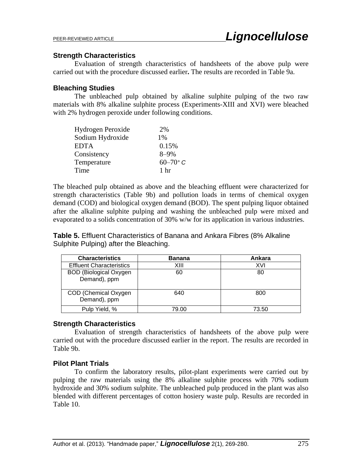## **Strength Characteristics**

Evaluation of strength characteristics of handsheets of the above pulp were carried out with the procedure discussed earlier**.** The results are recorded in Table 9a.

### **Bleaching Studies**

The unbleached pulp obtained by alkaline sulphite pulping of the two raw materials with 8% alkaline sulphite process (Experiments-XIII and XVI) were bleached with 2% hydrogen peroxide under following conditions.

| Hydrogen Peroxide | 2%              |
|-------------------|-----------------|
| Sodium Hydroxide  | 1%              |
| EDTA              | 0.15%           |
| Consistency       | $8 - 9\%$       |
| Temperature       | $60-70$ °C      |
| Time              | 1 <sub>hr</sub> |

The bleached pulp obtained as above and the bleaching effluent were characterized for strength characteristics (Table 9b) and pollution loads in terms of chemical oxygen demand (COD) and biological oxygen demand (BOD). The spent pulping liquor obtained after the alkaline sulphite pulping and washing the unbleached pulp were mixed and evaporated to a solids concentration of 30% w/w for its application in various industries.

**Table 5.** Effluent Characteristics of Banana and Ankara Fibres (8% Alkaline Sulphite Pulping) after the Bleaching.

| <b>Characteristics</b>                        | <b>Banana</b> | Ankara |
|-----------------------------------------------|---------------|--------|
| <b>Effluent Characteristics</b>               | XIII          | XVI    |
| <b>BOD</b> (Biological Oxygen<br>Demand), ppm | 60            | 80     |
| COD (Chemical Oxygen<br>Demand), ppm          | 640           | 800    |
| Pulp Yield, %                                 | 79.00         | 73.50  |

#### **Strength Characteristics**

Evaluation of strength characteristics of handsheets of the above pulp were carried out with the procedure discussed earlier in the report. The results are recorded in Table 9b.

# **Pilot Plant Trials**

To confirm the laboratory results, pilot-plant experiments were carried out by pulping the raw materials using the 8% alkaline sulphite process with 70% sodium hydroxide and 30% sodium sulphite. The unbleached pulp produced in the plant was also blended with different percentages of cotton hosiery waste pulp. Results are recorded in Table 10.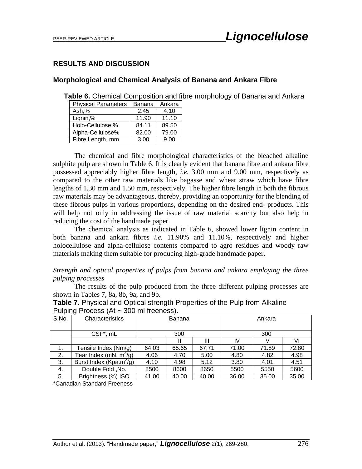# **RESULTS AND DISCUSSION**

#### **Morphological and Chemical Analysis of Banana and Ankara Fibre**

**Table 6.** Chemical Composition and fibre morphology of Banana and Ankara

| <b>Physical Parameters</b> | Banana | Ankara |
|----------------------------|--------|--------|
| Ash,%                      | 2.45   | 4.10   |
| Lignin,%                   | 11.90  | 11.10  |
| Holo-Cellulose,%           | 84.11  | 89.50  |
| Alpha-Cellulose%           | 82.00  | 79.00  |
| Fibre Length, mm           | 3.00   | 9.00   |

The chemical and fibre morphological characteristics of the bleached alkaline sulphite pulp are shown in Table 6. It is clearly evident that banana fibre and ankara fibre possessed appreciably higher fibre length, *i.e.* 3.00 mm and 9.00 mm, respectively as compared to the other raw materials like bagasse and wheat straw which have fibre lengths of 1.30 mm and 1.50 mm, respectively. The higher fibre length in both the fibrous raw materials may be advantageous, thereby, providing an opportunity for the blending of these fibrous pulps in various proportions, depending on the desired end- products. This will help not only in addressing the issue of raw material scarcity but also help in reducing the cost of the handmade paper.

The chemical analysis as indicated in Table 6, showed lower lignin content in both banana and ankara fibres *i.e.* 11.90% and 11.10%, respectively and higher holocellulose and alpha-cellulose contents compared to agro residues and woody raw materials making them suitable for producing high-grade handmade paper.

#### *Strength and optical properties of pulps from banana and ankara employing the three pulping processes*

The results of the pulp produced from the three different pulping processes are shown in Tables 7, 8a, 8b, 9a, and 9b.

|       | 1.91119113000001111                 |       |        |       |        |       |       |
|-------|-------------------------------------|-------|--------|-------|--------|-------|-------|
| S.No. | Characteristics                     |       | Banana |       | Ankara |       |       |
|       |                                     |       |        |       |        |       |       |
|       |                                     |       |        |       |        |       |       |
|       | CSF*, mL                            | 300   |        |       |        | 300   |       |
|       |                                     |       |        | Ш     | IV     |       | VI    |
|       | Tensile Index (Nm/g)                | 64.03 | 65.65  | 67,71 | 71.00  | 71.89 | 72.80 |
| 2.    | Tear Index (mN. $m^2/g$ )           | 4.06  | 4.70   | 5.00  | 4.80   | 4.82  | 4.98  |
| 3.    | Burst Index (Kpa.m <sup>2</sup> /g) | 4.10  | 4.98   | 5.12  | 3.80   | 4.01  | 4.51  |
| 4.    | Double Fold, No.                    | 8500  | 8600   | 8650  | 5500   | 5550  | 5600  |
| 5.    | Brightness (%) ISO                  | 41.00 | 40.00  | 40.00 | 36.00  | 35.00 | 35.00 |

**Table 7.** Physical and Optical strength Properties of the Pulp from Alkaline Pulping Process (At  $\approx 300$  ml freeness).

\*Canadian Standard Freeness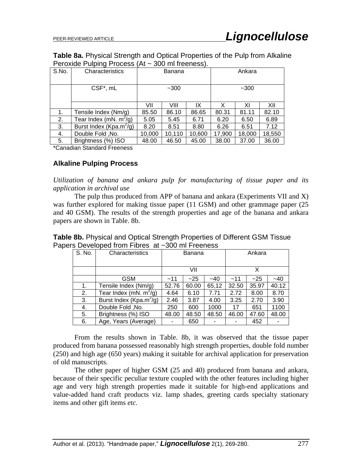**Table 8a.** Physical Strength and Optical Properties of the Pulp from Alkaline Peroxide Pulping Process (At ~ 300 ml freeness).

|       | ັ                                   |        |        |        |        |        |        |
|-------|-------------------------------------|--------|--------|--------|--------|--------|--------|
| S.No. | Characteristics                     |        | Banana |        | Ankara |        |        |
|       | CSF*, mL                            | $-300$ |        |        |        | $-300$ |        |
|       |                                     | VII    | VIII   | IX     | х      | ΧI     | XII    |
| 1.    | Tensile Index (Nm/g)                | 85.50  | 86.10  | 86.65  | 80.31  | 81.11  | 82.10  |
| 2.    | Tear Index (mN. $m^2/g$ )           | 5.05   | 5.45   | 6.71   | 6.20   | 6.50   | 6.89   |
| 3.    | Burst Index (Kpa.m <sup>2</sup> /g) | 8.20   | 8.51   | 8.80   | 6.26   | 6.51   | 7.12   |
| 4.    | Double Fold, No.                    | 10,000 | 10,110 | 10,600 | 17,900 | 18,000 | 18,550 |
| 5.    | Brightness (%) ISO                  | 48.00  | 46.50  | 45.00  | 38.00  | 37.00  | 36.00  |

\*Canadian Standard Freeness

### **Alkaline Pulping Process**

*Utilization of banana and ankara pulp for manufacturing of tissue paper and its application in archival use* 

The pulp thus produced from APP of banana and ankara (Experiments VII and X) was further explored for making tissue paper (11 GSM) and other grammage paper (25 and 40 GSM). The results of the strength properties and age of the banana and ankara papers are shown in Table. 8b.

| <b>Table 8b.</b> Physical and Optical Strength Properties of Different GSM Tissue |  |  |
|-----------------------------------------------------------------------------------|--|--|
| Papers Developed from Fibres at ~300 ml Freeness                                  |  |  |

| S. No. | Characteristics                     | Banana |       |       | Ankara |       |       |
|--------|-------------------------------------|--------|-------|-------|--------|-------|-------|
|        |                                     |        |       |       |        |       |       |
|        |                                     | VII    |       |       | X      |       |       |
|        | GSM                                 | $-11$  | $-25$ | $-40$ | $-11$  | $-25$ | $-40$ |
| 1.     | Tensile Index (Nm/g)                | 52.76  | 60.00 | 65,12 | 32.50  | 35.97 | 40.12 |
| 2.     | Tear Index (mN. $m^2$ /g)           | 4.64   | 6.10  | 7.71  | 2.72   | 8.00  | 8.70  |
| 3.     | Burst Index (Kpa.m <sup>2</sup> /g) | 2.46   | 3.87  | 4.00  | 3.25   | 2.70  | 3.90  |
| 4.     | Double Fold, No.                    | 250    | 600   | 1000  | 17     | 651   | 1100  |
| 5.     | Brightness (%) ISO                  | 48.00  | 48.50 | 48.50 | 46.00  | 47.60 | 48.00 |
| 6.     | Age, Years (Average)                | ٠      | 650   |       |        | 452   |       |

From the results shown in Table. 8b, it was observed that the tissue paper produced from banana possessed reasonably high strength properties, double fold number (250) and high age (650 years) making it suitable for archival application for preservation of old manuscripts.

The other paper of higher GSM (25 and 40) produced from banana and ankara, because of their specific peculiar texture coupled with the other features including higher age and very high strength properties made it suitable for high-end applications and value-added hand craft products viz. lamp shades, greeting cards specialty stationary items and other gift items *etc.*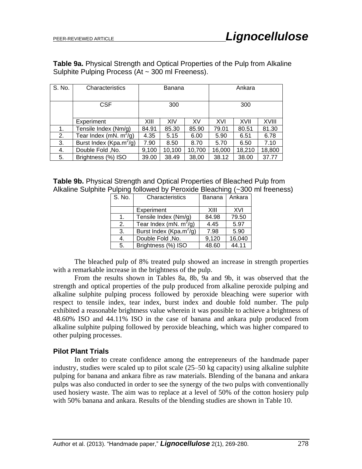**Table 9a.** Physical Strength and Optical Properties of the Pulp from Alkaline Sulphite Pulping Process (At  $\sim$  300 ml Freeness).

| S. No. | Characteristics                     | Banana |        | Ankara |        |        |        |
|--------|-------------------------------------|--------|--------|--------|--------|--------|--------|
|        |                                     |        |        |        |        |        |        |
|        | <b>CSF</b>                          | 300    |        | 300    |        |        |        |
|        |                                     |        |        |        |        |        |        |
|        | Experiment                          | XIII   | XIV    | XV     | XVI    | XVII   | XVIII  |
| 1.     | Tensile Index (Nm/g)                | 84.91  | 85.30  | 85.90  | 79.01  | 80.51  | 81.30  |
| 2.     | Tear Index (mN. $m^2/q$ )           | 4.35   | 5.15   | 6.00   | 5.90   | 6.51   | 6.78   |
| 3.     | Burst Index (Kpa.m <sup>2</sup> /g) | 7.90   | 8.50   | 8.70   | 5.70   | 6.50   | 7.10   |
| 4.     | Double Fold, No.                    | 9,100  | 10,100 | 10,700 | 16,000 | 18,210 | 18,800 |
| 5.     | Brightness (%) ISO                  | 39.00  | 38.49  | 38,00  | 38.12  | 38.00  | 37.77  |

| <b>Table 9b.</b> Physical Strength and Optical Properties of Bleached Pulp from |  |
|---------------------------------------------------------------------------------|--|
| Alkaline Sulphite Pulping followed by Peroxide Bleaching (~300 ml freeness)     |  |

| S. No. | Characteristics                     | Banana | Ankara |
|--------|-------------------------------------|--------|--------|
|        | Experiment                          | XIII   | XVI    |
| 1.     | Tensile Index (Nm/g)                | 84.98  | 79.50  |
| 2.     | Tear Index (mN. $m^2/q$ )           | 4.45   | 5.97   |
| 3.     | Burst Index (Kpa.m <sup>2</sup> /g) | 7.98   | 5.90   |
| 4.     | Double Fold, No.                    | 9,120  | 16,040 |
| 5.     | Brightness (%) ISO                  | 48.60  | 44.11  |

The bleached pulp of 8% treated pulp showed an increase in strength properties with a remarkable increase in the brightness of the pulp.

From the results shown in Tables 8a, 8b, 9a and 9b, it was observed that the strength and optical properties of the pulp produced from alkaline peroxide pulping and alkaline sulphite pulping process followed by peroxide bleaching were superior with respect to tensile index, tear index, burst index and double fold number. The pulp exhibited a reasonable brightness value wherein it was possible to achieve a brightness of 48.60% ISO and 44.11% ISO in the case of banana and ankara pulp produced from alkaline sulphite pulping followed by peroxide bleaching, which was higher compared to other pulping processes.

#### **Pilot Plant Trials**

In order to create confidence among the entrepreneurs of the handmade paper industry, studies were scaled up to pilot scale (25–50 kg capacity) using alkaline sulphite pulping for banana and ankara fibre as raw materials. Blending of the banana and ankara pulps was also conducted in order to see the synergy of the two pulps with conventionally used hosiery waste. The aim was to replace at a level of 50% of the cotton hosiery pulp with 50% banana and ankara. Results of the blending studies are shown in Table 10.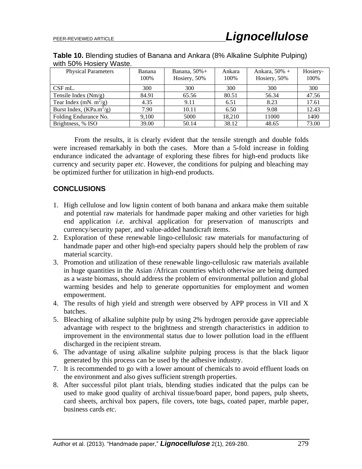| .                          |        |                  |        |                  |          |  |
|----------------------------|--------|------------------|--------|------------------|----------|--|
| <b>Physical Parameters</b> | Banana | Banana, $50\%$ + | Ankara | Ankara, $50\% +$ | Hosiery- |  |
|                            | 100%   | Hosiery, 50%     | 100%   | Hosiery, 50%     | 100%     |  |
| $CSF$ mL.                  | 300    | 300              | 300    | 300              | 300      |  |
| Tensile Index $(Nm/g)$     | 84.91  | 65.56            | 80.51  | 56.34            | 47.56    |  |
| Tear Index (mN. $m^2/g$ )  | 4.35   | 9.11             | 6.51   | 8.23             | 17.61    |  |
| Burst Index, $(KPa.m^2/g)$ | 7.90   | 10.11            | 6.50   | 9.08             | 12.43    |  |
| Folding Endurance No.      | 9.100  | 5000             | 18.210 | 11000            | 1400     |  |
| Brightness, % ISO          | 39.00  | 50.14            | 38.12  | 48.65            | 73.00    |  |

**Table 10.** Blending studies of Banana and Ankara (8% Alkaline Sulphite Pulping) with 50% Hosiery Waste.

From the results, it is clearly evident that the tensile strength and double folds were increased remarkably in both the cases. More than a 5-fold increase in folding endurance indicated the advantage of exploring these fibres for high-end products like currency and security paper *etc*. However, the conditions for pulping and bleaching may be optimized further for utilization in high-end products.

# **CONCLUSIONS**

- 1. High cellulose and low lignin content of both banana and ankara make them suitable and potential raw materials for handmade paper making and other varieties for high end application *i.e.* archival application for preservation of manuscripts and currency/security paper, and value-added handicraft items.
- 2. Exploration of these renewable lingo-cellulosic raw materials for manufacturing of handmade paper and other high-end specialty papers should help the problem of raw material scarcity.
- 3. Promotion and utilization of these renewable lingo-cellulosic raw materials available in huge quantities in the Asian /African countries which otherwise are being dumped as a waste biomass, should address the problem of environmental pollution and global warming besides and help to generate opportunities for employment and women empowerment.
- 4. The results of high yield and strength were observed by APP process in VII and X batches.
- 5. Bleaching of alkaline sulphite pulp by using 2% hydrogen peroxide gave appreciable advantage with respect to the brightness and strength characteristics in addition to improvement in the environmental status due to lower pollution load in the effluent discharged in the recipient stream.
- 6. The advantage of using alkaline sulphite pulping process is that the black liquor generated by this process can be used by the adhesive industry.
- 7. It is recommended to go with a lower amount of chemicals to avoid effluent loads on the environment and also gives sufficient strength properties.
- 8. After successful pilot plant trials, blending studies indicated that the pulps can be used to make good quality of archival tissue/board paper, bond papers, pulp sheets, card sheets, archival box papers, file covers, tote bags, coated paper, marble paper, business cards *etc*.